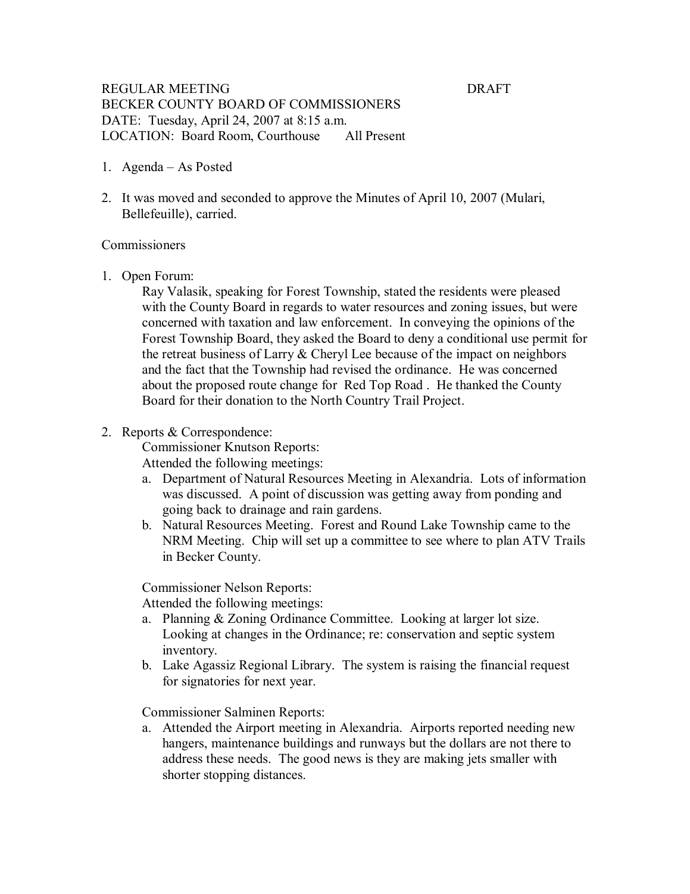## REGULAR MEETING DRAFT BECKER COUNTY BOARD OF COMMISSIONERS DATE: Tuesday, April 24, 2007 at 8:15 a.m. LOCATION: Board Room, Courthouse All Present

- 1. Agenda As Posted
- 2. It was moved and seconded to approve the Minutes of April 10, 2007 (Mulari, Bellefeuille), carried.

## **Commissioners**

1. Open Forum:

Ray Valasik, speaking for Forest Township, stated the residents were pleased with the County Board in regards to water resources and zoning issues, but were concerned with taxation and law enforcement. In conveying the opinions of the Forest Township Board, they asked the Board to deny a conditional use permit for the retreat business of Larry & Cheryl Lee because of the impact on neighbors and the fact that the Township had revised the ordinance. He was concerned about the proposed route change for Red Top Road . He thanked the County Board for their donation to the North Country Trail Project.

### 2. Reports & Correspondence:

Commissioner Knutson Reports:

Attended the following meetings:

- a. Department of Natural Resources Meeting in Alexandria. Lots of information was discussed. A point of discussion was getting away from ponding and going back to drainage and rain gardens.
- b. Natural Resources Meeting. Forest and Round Lake Township came to the NRM Meeting. Chip will set up a committee to see where to plan ATV Trails in Becker County.

Commissioner Nelson Reports:

Attended the following meetings:

- a. Planning & Zoning Ordinance Committee. Looking at larger lot size. Looking at changes in the Ordinance; re: conservation and septic system inventory.
- b. Lake Agassiz Regional Library. The system is raising the financial request for signatories for next year.

Commissioner Salminen Reports:

a. Attended the Airport meeting in Alexandria. Airports reported needing new hangers, maintenance buildings and runways but the dollars are not there to address these needs. The good news is they are making jets smaller with shorter stopping distances.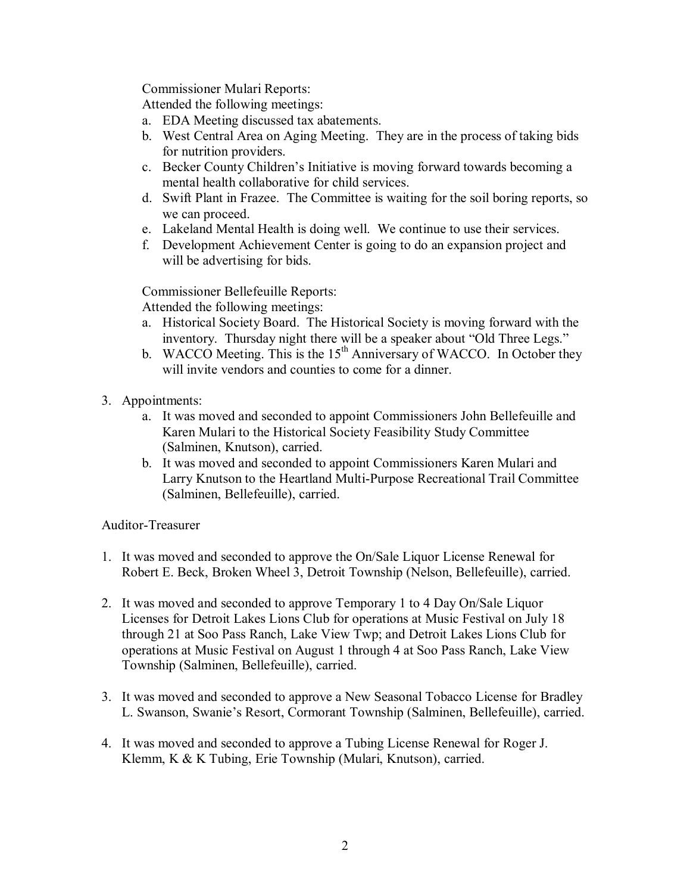Commissioner Mulari Reports:

Attended the following meetings:

- a. EDA Meeting discussed tax abatements.
- b. West Central Area on Aging Meeting. They are in the process of taking bids for nutrition providers.
- c. Becker County Children's Initiative is moving forward towards becoming a mental health collaborative for child services.
- d. Swift Plant in Frazee. The Committee is waiting for the soil boring reports, so we can proceed.
- e. Lakeland Mental Health is doing well. We continue to use their services.
- f. Development Achievement Center is going to do an expansion project and will be advertising for bids.

Commissioner Bellefeuille Reports:

Attended the following meetings:

- a. Historical Society Board. The Historical Society is moving forward with the inventory. Thursday night there will be a speaker about "Old Three Legs."
- b. WACCO Meeting. This is the  $15<sup>th</sup>$  Anniversary of WACCO. In October they will invite vendors and counties to come for a dinner.
- 3. Appointments:
	- a. It was moved and seconded to appoint Commissioners John Bellefeuille and Karen Mulari to the Historical Society Feasibility Study Committee (Salminen, Knutson), carried.
	- b. It was moved and seconded to appoint Commissioners Karen Mulari and Larry Knutson to the Heartland Multi-Purpose Recreational Trail Committee (Salminen, Bellefeuille), carried.

# Auditor-Treasurer

- 1. It was moved and seconded to approve the On/Sale Liquor License Renewal for Robert E. Beck, Broken Wheel 3, Detroit Township (Nelson, Bellefeuille), carried.
- 2. It was moved and seconded to approve Temporary 1 to 4 Day On/Sale Liquor Licenses for Detroit Lakes Lions Club for operations at Music Festival on July 18 through 21 at Soo Pass Ranch, Lake View Twp; and Detroit Lakes Lions Club for operations at Music Festival on August 1 through 4 at Soo Pass Ranch, Lake View Township (Salminen, Bellefeuille), carried.
- 3. It was moved and seconded to approve a New Seasonal Tobacco License for Bradley L. Swanson, Swanie's Resort, Cormorant Township (Salminen, Bellefeuille), carried.
- 4. It was moved and seconded to approve a Tubing License Renewal for Roger J. Klemm, K & K Tubing, Erie Township (Mulari, Knutson), carried.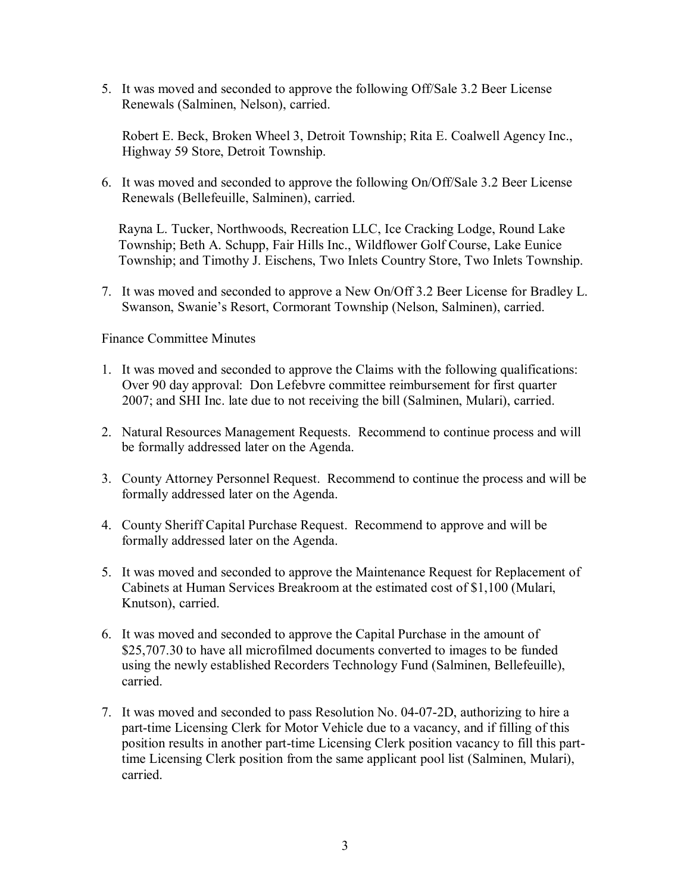5. It was moved and seconded to approve the following Off/Sale 3.2 Beer License Renewals (Salminen, Nelson), carried.

Robert E. Beck, Broken Wheel 3, Detroit Township; Rita E. Coalwell Agency Inc., Highway 59 Store, Detroit Township.

6. It was moved and seconded to approve the following On/Off/Sale 3.2 Beer License Renewals (Bellefeuille, Salminen), carried.

Rayna L. Tucker, Northwoods, Recreation LLC, Ice Cracking Lodge, Round Lake Township; Beth A. Schupp, Fair Hills Inc., Wildflower Golf Course, Lake Eunice Township; and Timothy J. Eischens, Two Inlets Country Store, Two Inlets Township.

7. It was moved and seconded to approve a New On/Off 3.2 Beer License for Bradley L. Swanson, Swanie's Resort, Cormorant Township (Nelson, Salminen), carried.

## Finance Committee Minutes

- 1. It was moved and seconded to approve the Claims with the following qualifications: Over 90 day approval: Don Lefebvre committee reimbursement for first quarter 2007; and SHI Inc. late due to not receiving the bill (Salminen, Mulari), carried.
- 2. Natural Resources Management Requests. Recommend to continue process and will be formally addressed later on the Agenda.
- 3. County Attorney Personnel Request. Recommend to continue the process and will be formally addressed later on the Agenda.
- 4. County Sheriff Capital Purchase Request. Recommend to approve and will be formally addressed later on the Agenda.
- 5. It was moved and seconded to approve the Maintenance Request for Replacement of Cabinets at Human Services Breakroom at the estimated cost of \$1,100 (Mulari, Knutson), carried.
- 6. It was moved and seconded to approve the Capital Purchase in the amount of \$25,707.30 to have all microfilmed documents converted to images to be funded using the newly established Recorders Technology Fund (Salminen, Bellefeuille), carried.
- 7. It was moved and seconded to pass Resolution No. 04-07-2D, authorizing to hire a part-time Licensing Clerk for Motor Vehicle due to a vacancy, and if filling of this position results in another part-time Licensing Clerk position vacancy to fill this parttime Licensing Clerk position from the same applicant pool list (Salminen, Mulari), carried.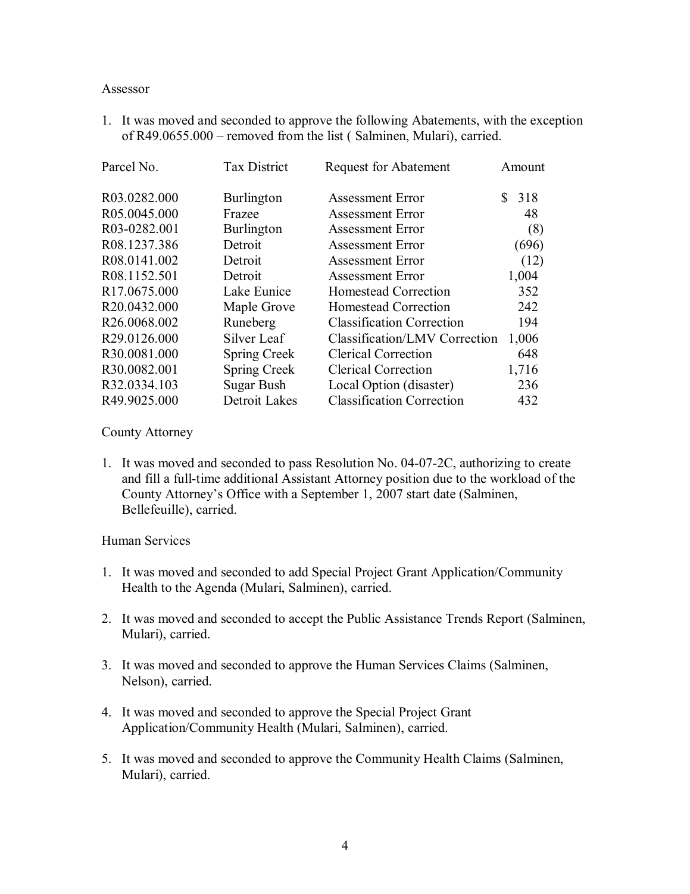#### Assessor

1. It was moved and seconded to approve the following Abatements, with the exception of R49.0655.000 – removed from the list ( Salminen, Mulari), carried.

| Parcel No.               | <b>Tax District</b> | <b>Request for Abatement</b>     | Amount    |
|--------------------------|---------------------|----------------------------------|-----------|
| R03.0282.000             | Burlington          | <b>Assessment Error</b>          | 318<br>S. |
| R05.0045.000             | Frazee              | <b>Assessment Error</b>          | 48        |
| R03-0282.001             | Burlington          | <b>Assessment Error</b>          | (8)       |
| R08.1237.386             | Detroit             | <b>Assessment Error</b>          | (696)     |
| R08.0141.002             | Detroit             | <b>Assessment Error</b>          | (12)      |
| R08.1152.501             | Detroit             | <b>Assessment Error</b>          | 1,004     |
| R <sub>17.0675.000</sub> | Lake Eunice         | Homestead Correction             | 352       |
| R20.0432.000             | Maple Grove         | Homestead Correction             | 242       |
| R26.0068.002             | Runeberg            | <b>Classification Correction</b> | 194       |
| R29.0126.000             | Silver Leaf         | Classification/LMV Correction    | 1,006     |
| R30.0081.000             | <b>Spring Creek</b> | <b>Clerical Correction</b>       | 648       |
| R30.0082.001             | <b>Spring Creek</b> | <b>Clerical Correction</b>       | 1,716     |
| R32.0334.103             | Sugar Bush          | Local Option (disaster)          | 236       |
| R49.9025.000             | Detroit Lakes       | <b>Classification Correction</b> | 432       |

County Attorney

1. It was moved and seconded to pass Resolution No. 04-07-2C, authorizing to create and fill a full-time additional Assistant Attorney position due to the workload of the County Attorney's Office with a September 1, 2007 start date (Salminen, Bellefeuille), carried.

## Human Services

- 1. It was moved and seconded to add Special Project Grant Application/Community Health to the Agenda (Mulari, Salminen), carried.
- 2. It was moved and seconded to accept the Public Assistance Trends Report (Salminen, Mulari), carried.
- 3. It was moved and seconded to approve the Human Services Claims (Salminen, Nelson), carried.
- 4. It was moved and seconded to approve the Special Project Grant Application/Community Health (Mulari, Salminen), carried.
- 5. It was moved and seconded to approve the Community Health Claims (Salminen, Mulari), carried.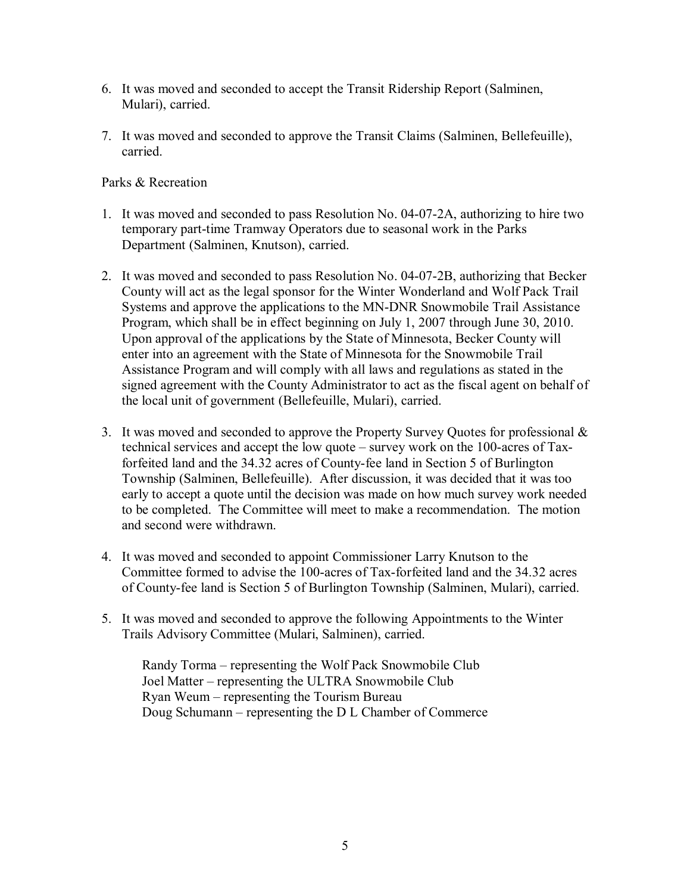- 6. It was moved and seconded to accept the Transit Ridership Report (Salminen, Mulari), carried.
- 7. It was moved and seconded to approve the Transit Claims (Salminen, Bellefeuille), carried.

# Parks & Recreation

- 1. It was moved and seconded to pass Resolution No. 04-07-2A, authorizing to hire two temporary part-time Tramway Operators due to seasonal work in the Parks Department (Salminen, Knutson), carried.
- 2. It was moved and seconded to pass Resolution No. 04-07-2B, authorizing that Becker County will act as the legal sponsor for the Winter Wonderland and Wolf Pack Trail Systems and approve the applications to the MN-DNR Snowmobile Trail Assistance Program, which shall be in effect beginning on July 1, 2007 through June 30, 2010. Upon approval of the applications by the State of Minnesota, Becker County will enter into an agreement with the State of Minnesota for the Snowmobile Trail Assistance Program and will comply with all laws and regulations as stated in the signed agreement with the County Administrator to act as the fiscal agent on behalf of the local unit of government (Bellefeuille, Mulari), carried.
- 3. It was moved and seconded to approve the Property Survey Quotes for professional & technical services and accept the low quote – survey work on the  $100$ -acres of Taxforfeited land and the 34.32 acres of County-fee land in Section 5 of Burlington Township (Salminen, Bellefeuille). After discussion, it was decided that it was too early to accept a quote until the decision was made on how much survey work needed to be completed. The Committee will meet to make a recommendation. The motion and second were withdrawn.
- 4. It was moved and seconded to appoint Commissioner Larry Knutson to the Committee formed to advise the 100-acres of Tax-forfeited land and the 34.32 acres of County-fee land is Section 5 of Burlington Township (Salminen, Mulari), carried.
- 5. It was moved and seconded to approve the following Appointments to the Winter Trails Advisory Committee (Mulari, Salminen), carried.

Randy Torma – representing the Wolf Pack Snowmobile Club Joel Matter – representing the ULTRA Snowmobile Club Ryan Weum – representing the Tourism Bureau Doug Schumann – representing the D L Chamber of Commerce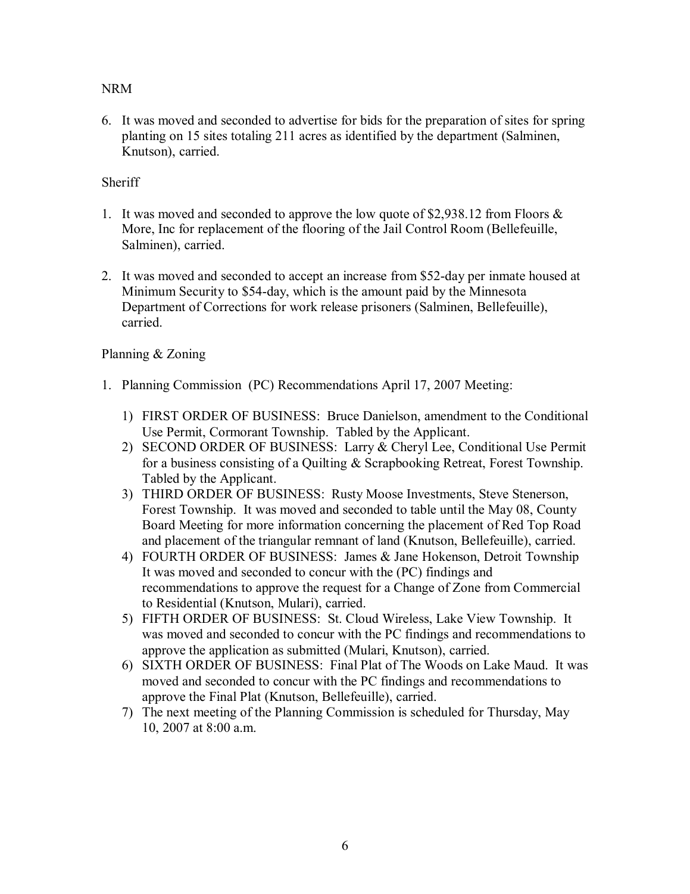NRM

6. It was moved and seconded to advertise for bids for the preparation of sites for spring planting on 15 sites totaling 211 acres as identified by the department (Salminen, Knutson), carried.

# Sheriff

- 1. It was moved and seconded to approve the low quote of \$2,938.12 from Floors & More, Inc for replacement of the flooring of the Jail Control Room (Bellefeuille, Salminen), carried.
- 2. It was moved and seconded to accept an increase from \$52-day per inmate housed at Minimum Security to \$54-day, which is the amount paid by the Minnesota Department of Corrections for work release prisoners (Salminen, Bellefeuille), carried.

# Planning & Zoning

- 1. Planning Commission (PC) Recommendations April 17, 2007 Meeting:
	- 1) FIRST ORDER OF BUSINESS: Bruce Danielson, amendment to the Conditional Use Permit, Cormorant Township. Tabled by the Applicant.
	- 2) SECOND ORDER OF BUSINESS: Larry & Cheryl Lee, Conditional Use Permit for a business consisting of a Quilting & Scrapbooking Retreat, Forest Township. Tabled by the Applicant.
	- 3) THIRD ORDER OF BUSINESS: Rusty Moose Investments, Steve Stenerson, Forest Township. It was moved and seconded to table until the May 08, County Board Meeting for more information concerning the placement of Red Top Road and placement of the triangular remnant of land (Knutson, Bellefeuille), carried.
	- 4) FOURTH ORDER OF BUSINESS: James & Jane Hokenson, Detroit Township It was moved and seconded to concur with the (PC) findings and recommendations to approve the request for a Change of Zone from Commercial to Residential (Knutson, Mulari), carried.
	- 5) FIFTH ORDER OF BUSINESS: St. Cloud Wireless, Lake View Township. It was moved and seconded to concur with the PC findings and recommendations to approve the application as submitted (Mulari, Knutson), carried.
	- 6) SIXTH ORDER OF BUSINESS: Final Plat of The Woods on Lake Maud. It was moved and seconded to concur with the PC findings and recommendations to approve the Final Plat (Knutson, Bellefeuille), carried.
	- 7) The next meeting of the Planning Commission is scheduled for Thursday, May 10, 2007 at 8:00 a.m.